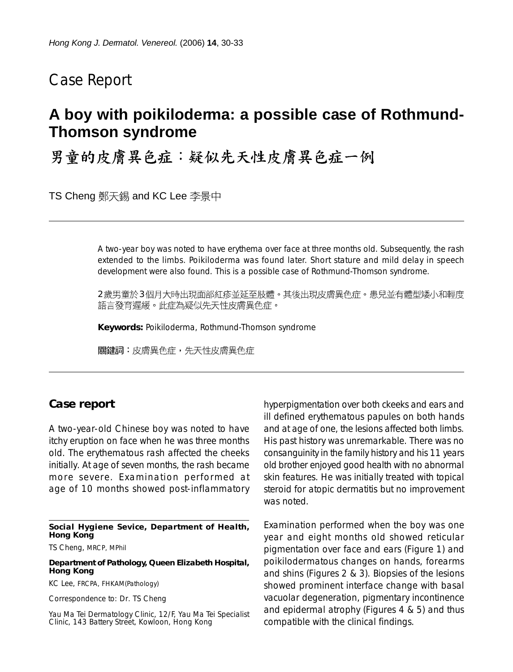## Case Report

# **A boy with poikiloderma: a possible case of Rothmund-Thomson syndrome**

男童的皮膚異色症:疑似先天性皮膚異色症一例

TS Cheng 鄭天錫 and KC Lee 李景中

A two-year boy was noted to have erythema over face at three months old. Subsequently, the rash extended to the limbs. Poikiloderma was found later. Short stature and mild delay in speech development were also found. This is a possible case of Rothmund-Thomson syndrome.

2歲男童於3個月大時出現面部紅疹並延至肢體。其後出現皮膚異色症。患兒並有體型矮小和輕度 語言發育遲緩。此症為疑似先天性皮膚異色症。

**Keywords:** Poikiloderma, Rothmund-Thomson syndrome

關鍵詞:皮膚異色症,先天性皮膚異色症

### **Case report**

A two-year-old Chinese boy was noted to have itchy eruption on face when he was three months old. The erythematous rash affected the cheeks initially. At age of seven months, the rash became more severe. Examination performed at age of 10 months showed post-inflammatory

#### **Social Hygiene Sevice, Department of Health, Hong Kong**

TS Cheng, MRCP, MPhil

#### **Department of Pathology, Queen Elizabeth Hospital, Hong Kong**

KC Lee, FRCPA, FHKAM(Pathology)

Correspondence to: Dr. TS Cheng

Yau Ma Tei Dermatology Clinic, 12/F, Yau Ma Tei Specialist Clinic, 143 Battery Street, Kowloon, Hong Kong

hyperpigmentation over both ckeeks and ears and ill defined erythematous papules on both hands and at age of one, the lesions affected both limbs. His past history was unremarkable. There was no consanguinity in the family history and his 11 years old brother enjoyed good health with no abnormal skin features. He was initially treated with topical steroid for atopic dermatitis but no improvement was noted.

Examination performed when the boy was one year and eight months old showed reticular pigmentation over face and ears (Figure 1) and poikilodermatous changes on hands, forearms and shins (Figures 2 & 3). Biopsies of the lesions showed prominent interface change with basal vacuolar degeneration, pigmentary incontinence and epidermal atrophy (Figures 4 & 5) and thus compatible with the clinical findings.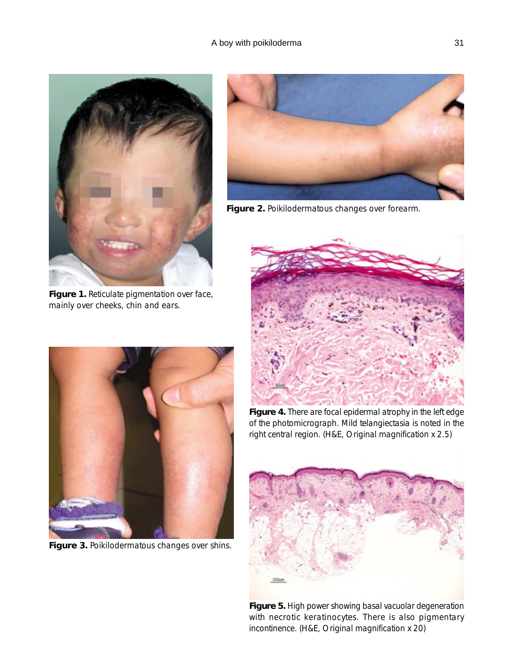

**Figure 1.** Reticulate pigmentation over face, mainly over cheeks, chin and ears.



**Figure 3.** Poikilodermatous changes over shins.



**Figure 2.** Poikilodermatous changes over forearm.



**Figure 4.** There are focal epidermal atrophy in the left edge of the photomicrograph. Mild telangiectasia is noted in the right central region. (H&E, Original magnification x 2.5)



**Figure 5.** High power showing basal vacuolar degeneration with necrotic keratinocytes. There is also pigmentary incontinence. (H&E, Original magnification x 20)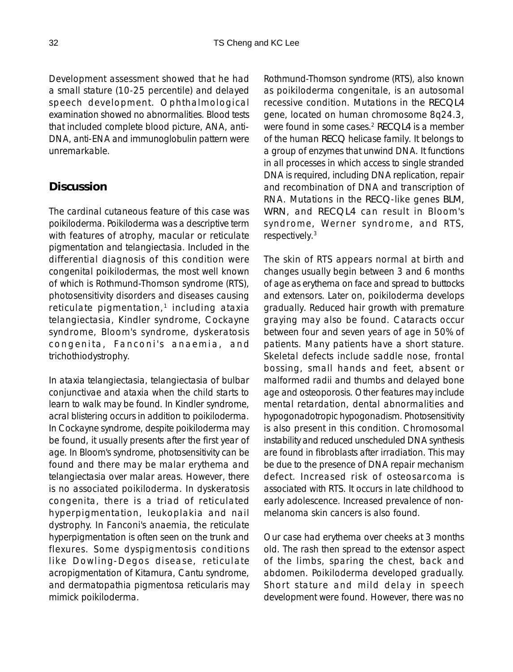Development assessment showed that he had a small stature (10-25 percentile) and delayed speech development. Ophthalmological examination showed no abnormalities. Blood tests that included complete blood picture, ANA, anti-DNA, anti-ENA and immunoglobulin pattern were unremarkable.

## **Discussion**

The cardinal cutaneous feature of this case was poikiloderma. Poikiloderma was a descriptive term with features of atrophy, macular or reticulate pigmentation and telangiectasia. Included in the differential diagnosis of this condition were congenital poikilodermas, the most well known of which is Rothmund-Thomson syndrome (RTS), photosensitivity disorders and diseases causing reticulate pigmentation, $1$  including ataxia telangiectasia, Kindler syndrome, Cockayne syndrome, Bloom's syndrome, dyskeratosis congenita, Fanconi's anaemia, and trichothiodystrophy.

In ataxia telangiectasia, telangiectasia of bulbar conjunctivae and ataxia when the child starts to learn to walk may be found. In Kindler syndrome, acral blistering occurs in addition to poikiloderma. In Cockayne syndrome, despite poikiloderma may be found, it usually presents after the first year of age. In Bloom's syndrome, photosensitivity can be found and there may be malar erythema and telangiectasia over malar areas. However, there is no associated poikiloderma. In dyskeratosis congenita, there is a triad of reticulated hyperpigmentation, leukoplakia and nail dystrophy. In Fanconi's anaemia, the reticulate hyperpigmentation is often seen on the trunk and flexures. Some dyspigmentosis conditions like Dowling-Degos disease, reticulate acropigmentation of Kitamura, Cantu syndrome, and dermatopathia pigmentosa reticularis may mimick poikiloderma.

Rothmund-Thomson syndrome (RTS), also known as poikiloderma congenitale, is an autosomal recessive condition. Mutations in the *RECQL4* gene, located on human chromosome 8q24.3, were found in some cases.2 *RECQL4* is a member of the human *RECQ* helicase family. It belongs to a group of enzymes that unwind DNA. It functions in all processes in which access to single stranded DNA is required, including DNA replication, repair and recombination of DNA and transcription of RNA. Mutations in the *RECQ*-like genes *BLM, WRN*, and *RECQL4* can result in Bloom's syndrome, Werner syndrome, and RTS, respectively.3

The skin of RTS appears normal at birth and changes usually begin between 3 and 6 months of age as erythema on face and spread to buttocks and extensors. Later on, poikiloderma develops gradually. Reduced hair growth with premature graying may also be found. Cataracts occur between four and seven years of age in 50% of patients. Many patients have a short stature. Skeletal defects include saddle nose, frontal bossing, small hands and feet, absent or malformed radii and thumbs and delayed bone age and osteoporosis. Other features may include mental retardation, dental abnormalities and hypogonadotropic hypogonadism. Photosensitivity is also present in this condition. Chromosomal instability and reduced unscheduled DNA synthesis are found in fibroblasts after irradiation. This may be due to the presence of DNA repair mechanism defect. Increased risk of osteosarcoma is associated with RTS. It occurs in late childhood to early adolescence. Increased prevalence of nonmelanoma skin cancers is also found.

Our case had erythema over cheeks at 3 months old. The rash then spread to the extensor aspect of the limbs, sparing the chest, back and abdomen. Poikiloderma developed gradually. Short stature and mild delay in speech development were found. However, there was no